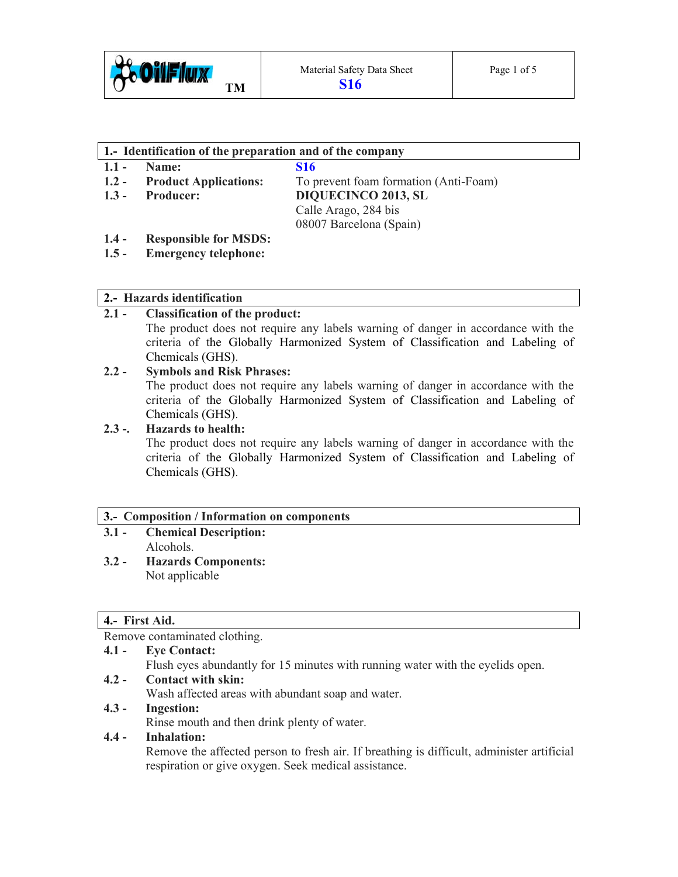

#### **1.- Identification of the preparation and of the company**

- **1.1 Name: S16**
- 
- 

**1.2 - Product Applications:** To prevent foam formation (Anti-Foam) **1.3 - Producer: DIQUECINCO 2013, SL** Calle Arago, 284 bis 08007 Barcelona (Spain)

# **1.4 - Responsible for MSDS:**

**1.5 - Emergency telephone:** 

# **2.- Hazards identification**

# **2.1 - Classification of the product:**

The product does not require any labels warning of danger in accordance with the criteria of the Globally Harmonized System of Classification and Labeling of Chemicals (GHS).

# **2.2 - Symbols and Risk Phrases:**

The product does not require any labels warning of danger in accordance with the criteria of the Globally Harmonized System of Classification and Labeling of Chemicals (GHS).

# **2.3 -. Hazards to health:**

The product does not require any labels warning of danger in accordance with the criteria of the Globally Harmonized System of Classification and Labeling of Chemicals (GHS).

# **3.- Composition / Information on components**

- **3.1 Chemical Description:**  Alcohols.
- **3.2 Hazards Components:**  Not applicable

# **4.- First Aid.**

Remove contaminated clothing.

# **4.1 - Eye Contact:**

Flush eyes abundantly for 15 minutes with running water with the eyelids open.

**4.2 - Contact with skin:** 

Wash affected areas with abundant soap and water.

# **4.3 - Ingestion:**

Rinse mouth and then drink plenty of water.

# **4.4 - Inhalation:**

Remove the affected person to fresh air. If breathing is difficult, administer artificial respiration or give oxygen. Seek medical assistance.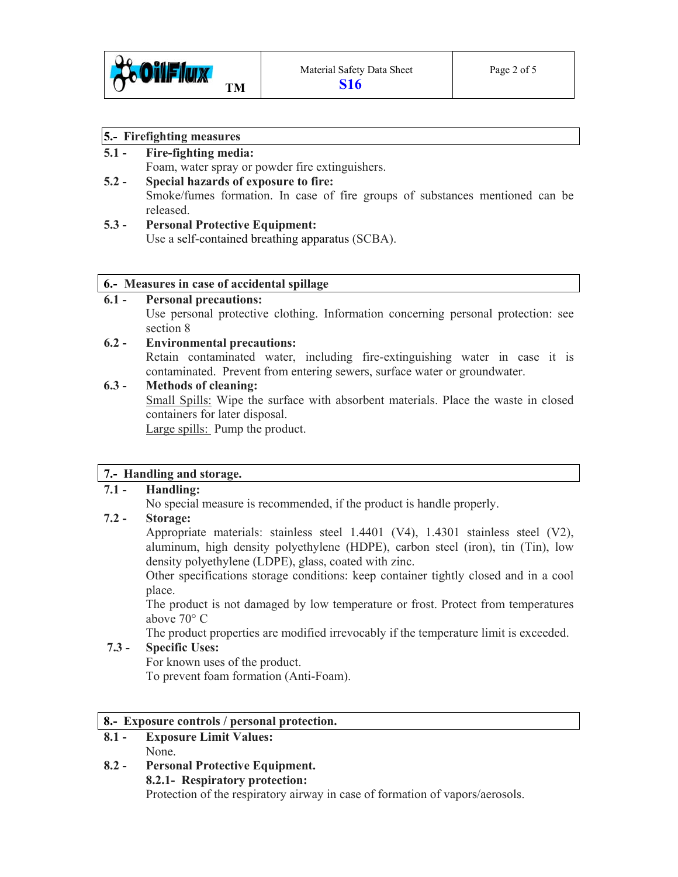

#### **5.- Firefighting measures**

# **5.1 - Fire-fighting media:**

Foam, water spray or powder fire extinguishers.

# **5.2 - Special hazards of exposure to fire:**

Smoke/fumes formation. In case of fire groups of substances mentioned can be released.

# **5.3 - Personal Protective Equipment:**

Use a self-contained breathing apparatus (SCBA).

### **6.- Measures in case of accidental spillage**

#### **6.1 - Personal precautions:**

Use personal protective clothing. Information concerning personal protection: see section 8

# **6.2 - Environmental precautions:**

Retain contaminated water, including fire-extinguishing water in case it is contaminated. Prevent from entering sewers, surface water or groundwater.

### **6.3 - Methods of cleaning:**

Small Spills: Wipe the surface with absorbent materials. Place the waste in closed containers for later disposal.

Large spills: Pump the product.

# **7.- Handling and storage.**

# **7.1 - Handling:**

No special measure is recommended, if the product is handle properly.

# **7.2 - Storage:**

Appropriate materials: stainless steel 1.4401 (V4), 1.4301 stainless steel (V2), aluminum, high density polyethylene (HDPE), carbon steel (iron), tin (Tin), low density polyethylene (LDPE), glass, coated with zinc.

 Other specifications storage conditions: keep container tightly closed and in a cool place.

 The product is not damaged by low temperature or frost. Protect from temperatures above 70° C

The product properties are modified irrevocably if the temperature limit is exceeded.

# **7.3 - Specific Uses:**

For known uses of the product. To prevent foam formation (Anti-Foam).

#### **8.- Exposure controls / personal protection.**

- **8.1 Exposure Limit Values:**  None.
- **8.2 Personal Protective Equipment. 8.2.1- Respiratory protection:**  Protection of the respiratory airway in case of formation of vapors/aerosols.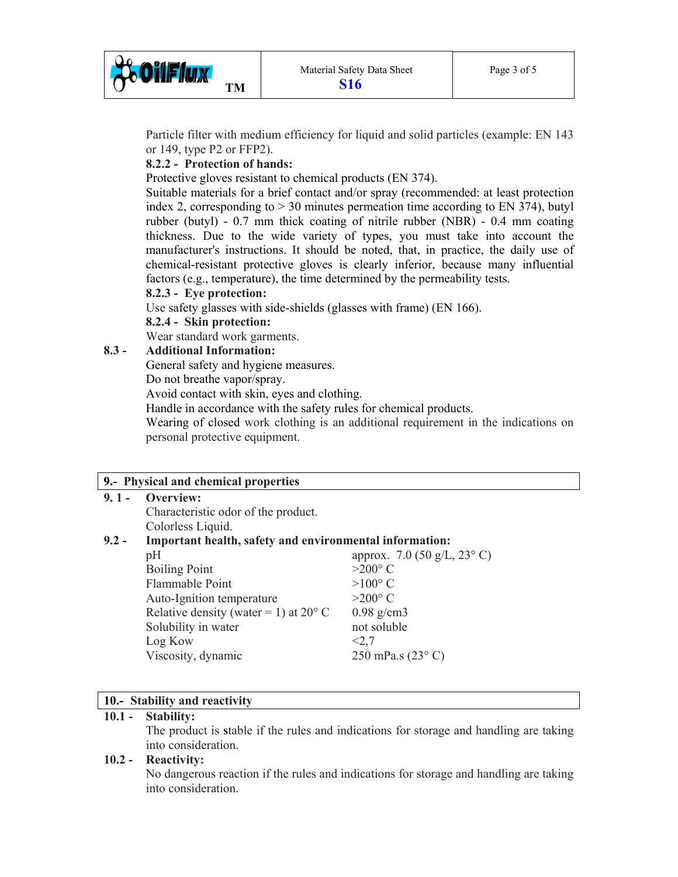

 Particle filter with medium efficiency for liquid and solid particles (example: EN 143 or 149, type P2 or FFP2).

# **8.2.2 - Protection of hands:**

Protective gloves resistant to chemical products (EN 374).

 Suitable materials for a brief contact and/or spray (recommended: at least protection index 2, corresponding to > 30 minutes permeation time according to EN 374), butyl rubber (butyl) - 0.7 mm thick coating of nitrile rubber (NBR) - 0.4 mm coating thickness. Due to the wide variety of types, you must take into account the manufacturer's instructions. It should be noted, that, in practice, the daily use of chemical-resistant protective gloves is clearly inferior, because many influential factors (e.g., temperature), the time determined by the permeability tests.

 **8.2.3 - Eye protection:** 

Use safety glasses with side-shields (glasses with frame) (EN 166).

#### **8.2.4 - Skin protection:**

Wear standard work garments.

### **8.3 - Additional Information:**

General safety and hygiene measures.

Do not breathe vapor/spray.

Avoid contact with skin, eyes and clothing.

Handle in accordance with the safety rules for chemical products.

 Wearing of closed work clothing is an additional requirement in the indications on personal protective equipment.

#### **9.- Physical and chemical properties**

#### **9. 1 - Overview:**

Characteristic odor of the product. Colorless Liquid.

#### **9.2 - Important health, safety and environmental information:**

| pH                                             | approx. 7.0 (50 g/L, 23 $^{\circ}$ C) |
|------------------------------------------------|---------------------------------------|
| <b>Boiling Point</b>                           | $>200^{\circ}$ C                      |
| Flammable Point                                | $>100^{\circ}$ C                      |
| Auto-Ignition temperature                      | $>200^{\circ}$ C                      |
| Relative density (water = 1) at $20^{\circ}$ C | $0.98$ g/cm3                          |
| Solubility in water                            | not soluble                           |
| Log Kow                                        | < 2.7                                 |
| Viscosity, dynamic                             | 250 mPa.s $(23^{\circ} C)$            |
|                                                |                                       |

#### **10.- Stability and reactivity**

#### **10.1 - Stability:**

The product is **s**table if the rules and indications for storage and handling are taking into consideration.

#### **10.2 - Reactivity:**

No dangerous reaction if the rules and indications for storage and handling are taking into consideration.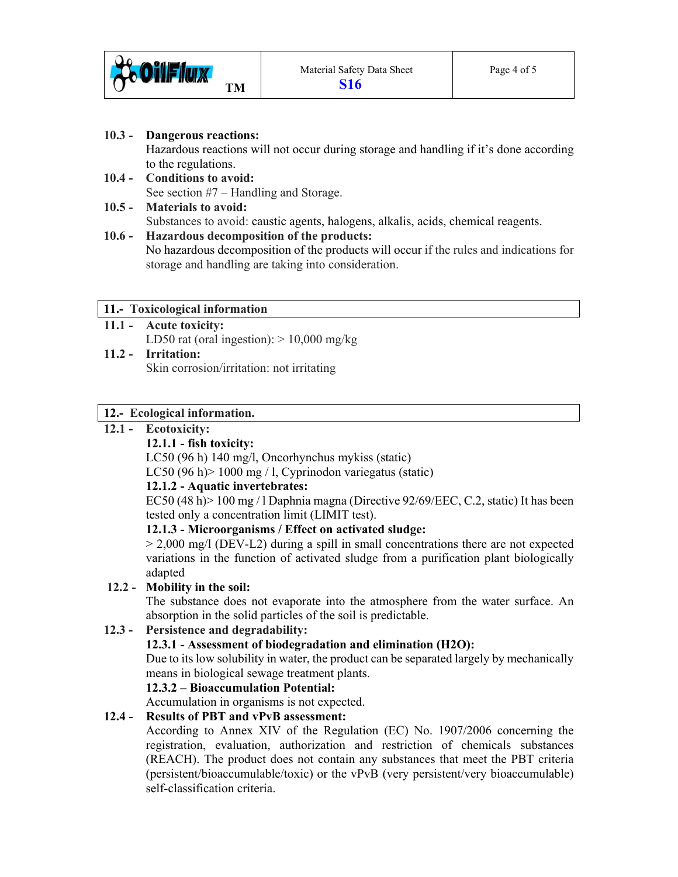

## **10.3 - Dangerous reactions:**

Hazardous reactions will not occur during storage and handling if it's done according to the regulations.

**10.4 - Conditions to avoid:**  See section #7 – Handling and Storage.

# **10.5 - Materials to avoid:**  Substances to avoid: caustic agents, halogens, alkalis, acids, chemical reagents.

#### **10.6 - Hazardous decomposition of the products:**  No hazardous decomposition of the products will occur if the rules and indications for

storage and handling are taking into consideration.

# **11.- Toxicological information**

- **11.1 Acute toxicity:**  LD50 rat (oral ingestion):  $> 10,000$  mg/kg
- **11.2 Irritation:**  Skin corrosion/irritation: not irritating

# **12.- Ecological information.**

# **12.1 - Ecotoxicity:**

# **12.1.1 - fish toxicity:**

LC50 (96 h) 140 mg/l, Oncorhynchus mykiss (static)

LC50 (96 h)> 1000 mg / l, Cyprinodon variegatus (static)

# **12.1.2 - Aquatic invertebrates:**

EC50 (48 h) > 100 mg / l Daphnia magna (Directive  $92/69/EEC$ , C.2, static) It has been tested only a concentration limit (LIMIT test).

# **12.1.3 - Microorganisms / Effect on activated sludge:**

 $> 2,000$  mg/l (DEV-L2) during a spill in small concentrations there are not expected variations in the function of activated sludge from a purification plant biologically adapted

# **12.2 - Mobility in the soil:**

 The substance does not evaporate into the atmosphere from the water surface. An absorption in the solid particles of the soil is predictable.

# **12.3 - Persistence and degradability:**

# **12.3.1 - Assessment of biodegradation and elimination (H2O):**

 Due to its low solubility in water, the product can be separated largely by mechanically means in biological sewage treatment plants.

# **12.3.2 – Bioaccumulation Potential:**

Accumulation in organisms is not expected.

# **12.4 - Results of PBT and vPvB assessment:**

 According to Annex XIV of the Regulation (EC) No. 1907/2006 concerning the registration, evaluation, authorization and restriction of chemicals substances (REACH). The product does not contain any substances that meet the PBT criteria (persistent/bioaccumulable/toxic) or the vPvB (very persistent/very bioaccumulable) self-classification criteria.